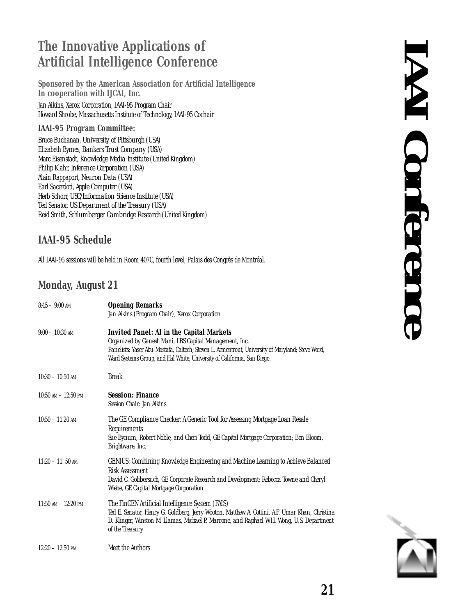# **The Innovative Applications of Artificial Intelligence Conference**

Sponsored by the American Association for Artificial Intelligence In cooperation with LJCAI, Inc. Jan Aikins, Xerox Corporation, IAAI-95 Program Chair Howard Shrobe, Massachusetts Institute of Technology, IAAI-95 Cochair

### **IAAI-95 Program Committee:**

Bruce Buchanan, University of Pittsburgh (USA) Elizabeth Byrnes, Bankers Trust Company (USA) Marc Eisenstadt, Knowledge Media Institute (United Kingdom) Philip Klahr, *Inference Corporation* (USA) Alain Rappaport, Neuron Data (USA) Earl Sacerdoti, Apple Computer (USA) Herb Schorr, *USC/Information Science Institute* (USA) Ted Senator, US Department of the Treasury (USA) Reid Smith, Schlumberger Cambridge Research (United Kingdom)

### **IAAI-95 Schedule**

All IAAI-95 sessions will be held in Room 407C, fourth level, Palais des Congrès de Montréal.

### **Monday, August 21**

| $8:45-9:00$ am          | <b>Opening Remarks</b><br>Jan Aikins (Program Chair), Xerox Corporation                                                                                                                                                                                                                  |
|-------------------------|------------------------------------------------------------------------------------------------------------------------------------------------------------------------------------------------------------------------------------------------------------------------------------------|
| $9:00-10:30$ AM         | <b>Invited Panel:</b> AI in the Capital Markets<br>Organized by Ganesh Mani, LBS Capital Management, Inc.<br>Panelists: Yaser Abu-Mostafa, Caltech; Steven L. Armentrout, University of Maryland; Steve Ward,<br>Ward Systems Group; and Hal White, University of California, San Diego. |
| $10:30 - 10:50$ AM      | <b>Break</b>                                                                                                                                                                                                                                                                             |
| $10:50$ AM $- 12:50$ PM | <b>Session: Finance</b><br>Session Chair: Jan Aikins                                                                                                                                                                                                                                     |
| $10:50 - 11:20$ AM      | The GE Compliance Checker: A Generic Tool for Assessing Mortgage Loan Resale<br>Requirements<br>Sue Bynum, Robert Noble, and Cheri Todd, GE Capital Mortgage Corporation; Ben Bloom,<br>Brightware, Inc.                                                                                 |
| $11:20 - 11:50$ AM      | GENIUS: Combining Knowledge Engineering and Machine Learning to Achieve Balanced<br><b>Risk Assessment</b><br>David C. Golibersuch, GE Corporate Research and Development; Rebecca Towne and Cheryl<br>Wiebe, GE Capital Mortgage Corporation                                            |
| $11:50$ AM $- 12:20$ PM | The FinCEN Artificial Intelligence System (FAIS)<br>Ted E. Senator, Henry G. Goldberg, Jerry Wooton, Matthew A. Cottini, A.F. Umar Khan, Christina<br>D. Klinger, Winston M. Llamas, Michael P. Marrone, and Raphael W.H. Wong, U.S. Department<br>of the Treasury                       |
| $12:20 - 12:50$ PM      | Meet the Authors                                                                                                                                                                                                                                                                         |



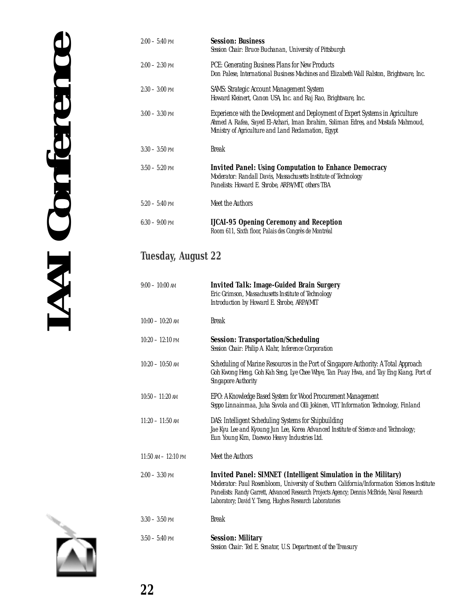| $2:00 - 5:40$ PM | <i><b>Session: Business</b></i><br>Session Chair: Bruce Buchanan, University of Pittsburgh                                                                                                                                   |
|------------------|------------------------------------------------------------------------------------------------------------------------------------------------------------------------------------------------------------------------------|
| $2:00 - 2:30$ PM | PCE: Generating Business Plans for New Products<br>Don Palese, International Business Machines and Elizabeth Wall Ralston, Brightware, Inc.                                                                                  |
| $2:30 - 3:00$ PM | <b>SAMS: Strategic Account Management System</b><br>Howard Kleinert, Canon USA, Inc. and Raj Rao, Brightware, Inc.                                                                                                           |
| $3:00 - 3:30$ PM | Experience with the Development and Deployment of Expert Systems in Agriculture<br>Ahmed A. Rafea, Sayed El-Azhari, Iman Ibrahim, Soliman Edres, and Mostafa Mahmoud,<br>Ministry of Agriculture and Land Reclamation, Egypt |
| $3:30 - 3:50$ PM | <b>Break</b>                                                                                                                                                                                                                 |
| $3:50 - 5:20$ PM | <i><b>Invited Panel: Using Computation to Enhance Democracy</b></i><br>Moderator: Randall Davis, Massachusetts Institute of Technology<br>Panelists: Howard E. Shrobe, ARPA/MIT, others TBA                                  |
| $5:20-5:40$ PM   | Meet the Authors                                                                                                                                                                                                             |
| $6:30-9:00$ PM   | <b>LICAI-95 Opening Ceremony and Reception</b><br>Room 611, Sixth floor, Palais des Congrès de Montréal                                                                                                                      |

## **Tuesday, August 22**

| $9:00-10:00$ AM            | <b>Invited Talk: Image-Guided Brain Surgery</b><br>Eric Grimson, Massachusetts Institute of Technology<br>Introduction by Howard E. Shrobe, ARPA/MIT                                                                                                                                                                             |
|----------------------------|----------------------------------------------------------------------------------------------------------------------------------------------------------------------------------------------------------------------------------------------------------------------------------------------------------------------------------|
| $10:00 - 10:20$ AM         | <b>Break</b>                                                                                                                                                                                                                                                                                                                     |
| $10:20 - 12:10 \text{ PM}$ | <b>Session:</b> Transportation/Scheduling<br>Session Chair: Philip A. Klahr, Inference Corporation                                                                                                                                                                                                                               |
| $10:20 - 10:50$ AM         | Scheduling of Marine Resources in the Port of Singapore Authority: A Total Approach<br>Goh Kwong Heng, Goh Kah Seng, Lye Chee Whye, Tan Puay Hwa, and Tay Eng Kiang, Port of<br>Singapore Authority                                                                                                                              |
| $10:50 - 11:20$ AM         | EPO: A Knowledge Based System for Wood Procurement Management<br>Seppo Linnainmaa, Juha Savola and Olli Jokinen, VTT Information Technology, Finland                                                                                                                                                                             |
| $11:20 - 11:50$ AM         | DAS: Intelligent Scheduling Systems for Shipbuilding<br>Jae Kyu Lee and Kyoung Jun Lee, Korea Advanced Institute of Science and Technology;<br>Eun Young Kim, Daewoo Heavy Industries Ltd.                                                                                                                                       |
| $11:50$ AM $- 12:10$ PM    | Meet the Authors                                                                                                                                                                                                                                                                                                                 |
| $2:00 - 3:30$ PM           | <b>Invited Panel: SIMNET</b> (Intelligent Simulation in the Military)<br>Moderator: Paul Rosenbloom, University of Southern California/Information Sciences Institute<br>Panelists: Randy Garrett, Advanced Research Projects Agency; Dennis McBride, Naval Research<br>Laboratory; David Y. Tseng, Hughes Research Laboratories |
| $3:30 - 3:50$ PM           | <b>Break</b>                                                                                                                                                                                                                                                                                                                     |
| $3:50 - 5:40$ PM           | <b>Session: Military</b><br>Session Chair: Ted E. Senator, U.S. Department of the Treasury                                                                                                                                                                                                                                       |